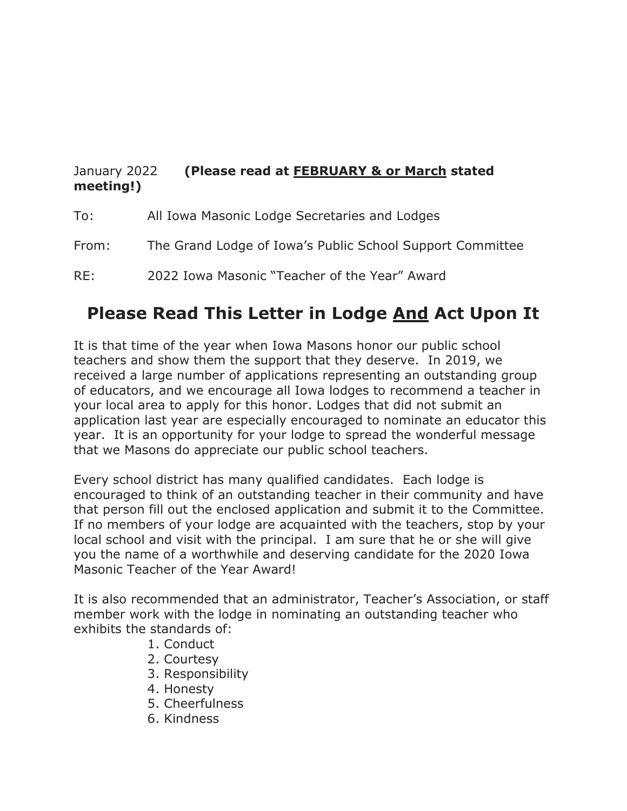## January 2022 **(Please read at FEBRUARY & or March stated meeting!)**

| To: |  | All Iowa Masonic Lodge Secretaries and Lodges |  |
|-----|--|-----------------------------------------------|--|

From: The Grand Lodge of Iowa's Public School Support Committee

RE: 2022 Iowa Masonic "Teacher of the Year" Award

## **Please Read This Letter in Lodge And Act Upon It**

It is that time of the year when Iowa Masons honor our public school teachers and show them the support that they deserve. In 2019, we received a large number of applications representing an outstanding group of educators, and we encourage all Iowa lodges to recommend a teacher in your local area to apply for this honor. Lodges that did not submit an application last year are especially encouraged to nominate an educator this year. It is an opportunity for your lodge to spread the wonderful message that we Masons do appreciate our public school teachers.

Every school district has many qualified candidates. Each lodge is encouraged to think of an outstanding teacher in their community and have that person fill out the enclosed application and submit it to the Committee. If no members of your lodge are acquainted with the teachers, stop by your local school and visit with the principal. I am sure that he or she will give you the name of a worthwhile and deserving candidate for the 2020 Iowa Masonic Teacher of the Year Award!

It is also recommended that an administrator, Teacher's Association, or staff member work with the lodge in nominating an outstanding teacher who exhibits the standards of:

- 1. Conduct
- 2. Courtesy
- 3. Responsibility
- 4. Honesty
- 5. Cheerfulness
- 6. Kindness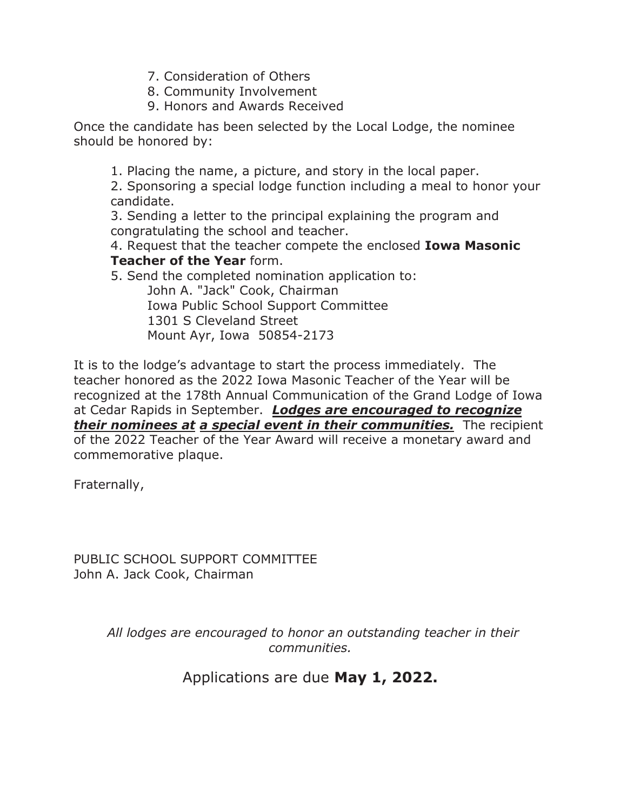- 7. Consideration of Others
- 8. Community Involvement
- 9. Honors and Awards Received

Once the candidate has been selected by the Local Lodge, the nominee should be honored by:

1. Placing the name, a picture, and story in the local paper.

2. Sponsoring a special lodge function including a meal to honor your candidate.

3. Sending a letter to the principal explaining the program and congratulating the school and teacher.

4. Request that the teacher compete the enclosed **Iowa Masonic Teacher of the Year** form.

5. Send the completed nomination application to: John A. "Jack" Cook, Chairman Iowa Public School Support Committee 1301 S Cleveland Street Mount Ayr, Iowa 50854-2173

It is to the lodge's advantage to start the process immediately. The teacher honored as the 2022 Iowa Masonic Teacher of the Year will be recognized at the 178th Annual Communication of the Grand Lodge of Iowa at Cedar Rapids in September. *Lodges are encouraged to recognize their nominees at a special event in their communities.* The recipient of the 2022 Teacher of the Year Award will receive a monetary award and commemorative plaque.

Fraternally,

PUBLIC SCHOOL SUPPORT COMMITTEE John A. Jack Cook, Chairman

> *All lodges are encouraged to honor an outstanding teacher in their communities.*

> > Applications are due **May 1, 2022.**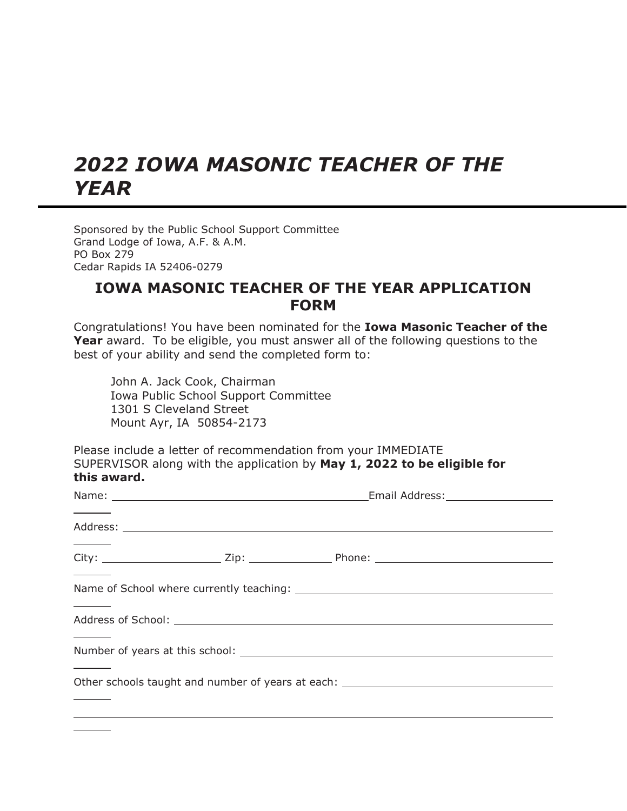## *2022 IOWA MASONIC TEACHER OF THE YEAR*

Sponsored by the Public School Support Committee Grand Lodge of Iowa, A.F. & A.M. PO Box 279 Cedar Rapids IA 52406-0279

## **IOWA MASONIC TEACHER OF THE YEAR APPLICATION FORM**

Congratulations! You have been nominated for the **Iowa Masonic Teacher of the Year** award. To be eligible, you must answer all of the following questions to the best of your ability and send the completed form to:

John A. Jack Cook, Chairman Iowa Public School Support Committee 1301 S Cleveland Street Mount Ayr, IA 50854-2173

Please include a letter of recommendation from your IMMEDIATE SUPERVISOR along with the application by **May 1, 2022 to be eligible for this award.**

|  | Other schools taught and number of years at each: _______________________________ |  |  |
|--|-----------------------------------------------------------------------------------|--|--|
|  |                                                                                   |  |  |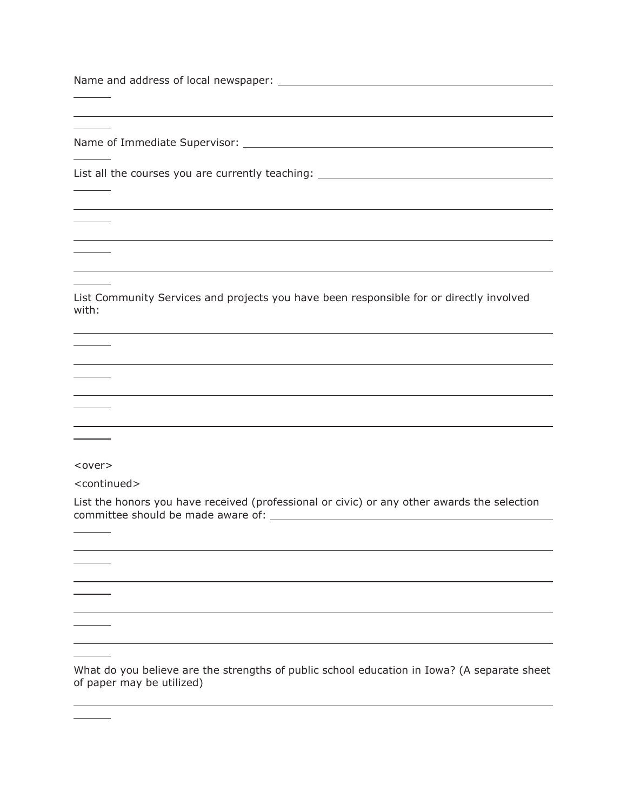Name and address of local newspaper:

Name of Immediate Supervisor: Name of Immediate Supervisor:

List all the courses you are currently teaching: \_\_\_\_\_\_\_\_\_\_\_\_\_\_\_\_\_\_\_\_\_\_\_\_\_\_\_\_\_\_\_\_

List Community Services and projects you have been responsible for or directly involved with:

<over>

<continued>

 $\overline{\phantom{a}}$ 

<u>and the state of the state of the state of the state of the state of the state of the state of the state of the state of the state of the state of the state of the state of the state of the state of the state of the state</u>

List the honors you have received (professional or civic) or any other awards the selection committee should be made aware of:

What do you believe are the strengths of public school education in Iowa? (A separate sheet of paper may be utilized)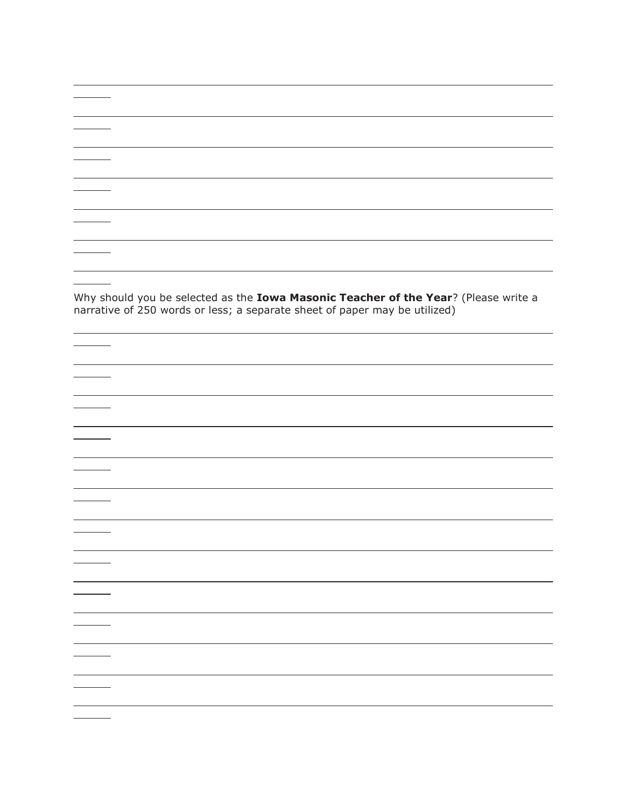Why should you be selected as the **Iowa Masonic Teacher of the Year**? (Please write a narrative of 250 words or less; a separate sheet of paper may be utilized)

 $\overline{\phantom{a}}$ 

 $\overline{\phantom{a}}$ 

 $\overline{\phantom{a}}$ 

 $\overline{\phantom{a}}$ 

 $\frac{1}{1}$ 

 $\mathcal{L}_{\text{max}}$ 

 $\mathcal{L}^{\text{max}}$  . The set of  $\mathcal{L}^{\text{max}}$ 

 $\begin{tabular}{c} \multicolumn{2}{c} {\textbf{1}}\\ \multicolumn{2}{c} {\textbf{2}}\\ \multicolumn{2}{c} {\textbf{3}}\\ \multicolumn{2}{c} {\textbf{4}}\\ \multicolumn{2}{c} {\textbf{5}}\\ \multicolumn{2}{c} {\textbf{6}}\\ \multicolumn{2}{c} {\textbf{6}}\\ \multicolumn{2}{c} {\textbf{7}}\\ \multicolumn{2}{c} {\textbf{8}}\\ \multicolumn{2}{c} {\textbf{9}}\\ \multicolumn{2}{c} {\textbf{1}}\\ \multicolumn{2}{c} {\textbf{1}}\\ \multicolumn{2}{c} {\textbf{1}}\\ \multicolumn$ 

 $\frac{1}{1} \left( \frac{1}{1} \right)^{2} \left( \frac{1}{1} \right)^{2} \left( \frac{1}{1} \right)^{2} \left( \frac{1}{1} \right)^{2} \left( \frac{1}{1} \right)^{2} \left( \frac{1}{1} \right)^{2} \left( \frac{1}{1} \right)^{2} \left( \frac{1}{1} \right)^{2} \left( \frac{1}{1} \right)^{2} \left( \frac{1}{1} \right)^{2} \left( \frac{1}{1} \right)^{2} \left( \frac{1}{1} \right)^{2} \left( \frac{1}{1} \right)^{2} \left( \frac$